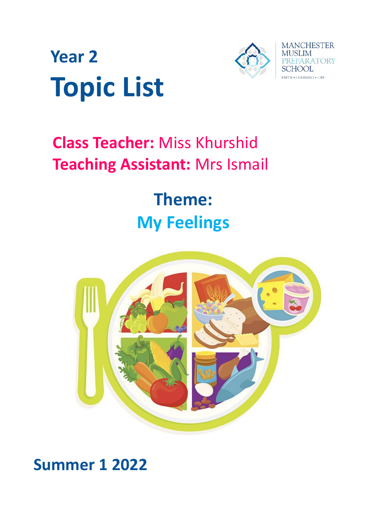



# **Class Teacher:** Miss Khurshid **Teaching Assistant:** Mrs Ismail

# **Theme: My Feelings**



# **Summer 1 2022**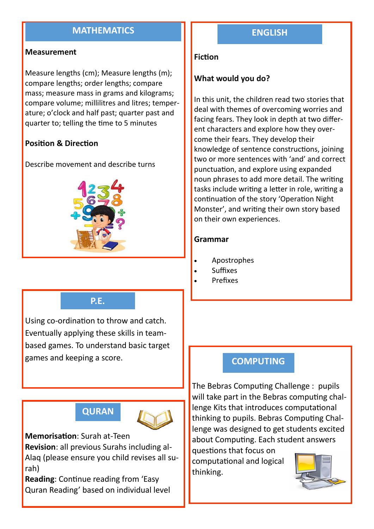### **MATHEMATICS**

#### **Measurement**

Measure lengths (cm); Measure lengths (m); compare lengths; order lengths; compare mass; measure mass in grams and kilograms; compare volume; millilitres and litres; temperature; o'clock and half past; quarter past and quarter to; telling the time to 5 minutes

#### **Position & Direction**

Describe movement and describe turns



#### **P.E.**

Using co-ordination to throw and catch. Eventually applying these skills in teambased games. To understand basic target games and keeping a score.

# **QURAN**



**Memorisation**: Surah at-Teen **Revision**: all previous Surahs including al-Alaq (please ensure you child revises all surah)

**Reading**: Continue reading from 'Easy Quran Reading' based on individual level

### **ENGLISH**

#### **Fiction**

#### **What would you do?**

In this unit, the children read two stories that deal with themes of overcoming worries and facing fears. They look in depth at two different characters and explore how they overcome their fears. They develop their knowledge of sentence constructions, joining two or more sentences with 'and' and correct punctuation, and explore using expanded noun phrases to add more detail. The writing tasks include writing a letter in role, writing a continuation of the story 'Operation Night Monster', and writing their own story based on their own experiences.

#### **Grammar**

- Apostrophes
- Suffixes
- Prefixes

#### **COMPUTING**

The Bebras Computing Challenge : pupils will take part in the Bebras computing challenge Kits that introduces computational thinking to pupils. Bebras Computing Challenge was designed to get students excited about Computing. Each student answers

questions that focus on computational and logical thinking.